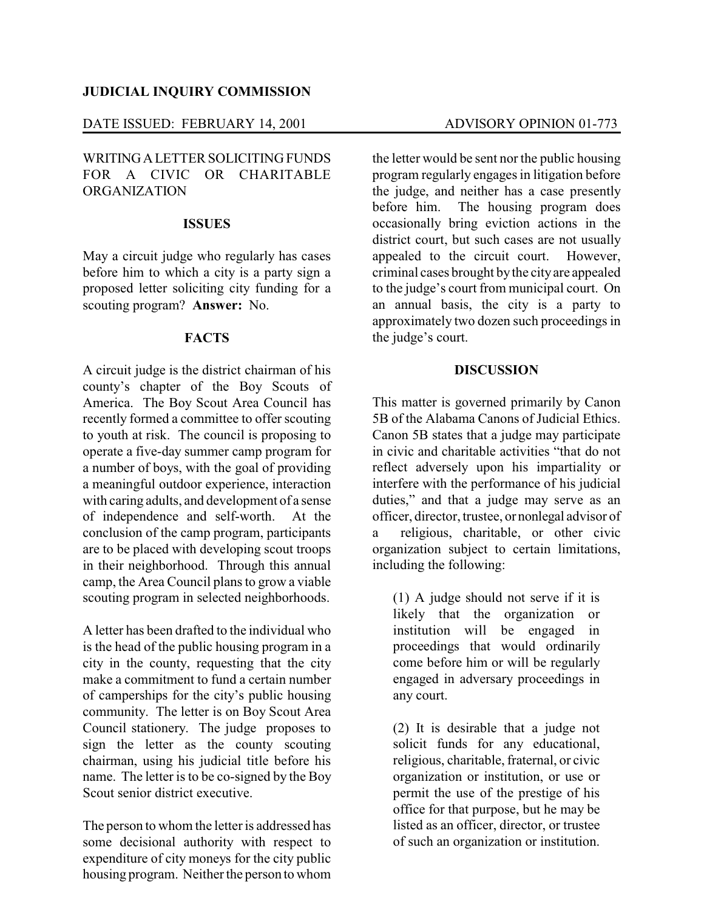## DATE ISSUED: FEBRUARY 14, 2001 ADVISORY OPINION 01-773

### WRITINGALETTER SOLICITING FUNDS FOR A CIVIC OR CHARITABLE ORGANIZATION

#### **ISSUES**

May a circuit judge who regularly has cases before him to which a city is a party sign a proposed letter soliciting city funding for a scouting program? **Answer:** No.

#### **FACTS**

A circuit judge is the district chairman of his county's chapter of the Boy Scouts of America. The Boy Scout Area Council has recently formed a committee to offer scouting to youth at risk. The council is proposing to operate a five-day summer camp program for a number of boys, with the goal of providing a meaningful outdoor experience, interaction with caring adults, and development of a sense of independence and self-worth. At the conclusion of the camp program, participants are to be placed with developing scout troops in their neighborhood. Through this annual camp, the Area Council plans to grow a viable scouting program in selected neighborhoods.

A letter has been drafted to the individual who is the head of the public housing program in a city in the county, requesting that the city make a commitment to fund a certain number of camperships for the city's public housing community. The letter is on Boy Scout Area Council stationery. The judge proposes to sign the letter as the county scouting chairman, using his judicial title before his name. The letter is to be co-signed by the Boy Scout senior district executive.

The person to whom the letter is addressed has some decisional authority with respect to expenditure of city moneys for the city public housing program. Neither the person to whom the letter would be sent nor the public housing program regularly engages in litigation before the judge, and neither has a case presently before him. The housing program does occasionally bring eviction actions in the district court, but such cases are not usually appealed to the circuit court. However, criminal cases brought bythe cityare appealed to the judge's court from municipal court. On an annual basis, the city is a party to approximately two dozen such proceedings in the judge's court.

#### **DISCUSSION**

This matter is governed primarily by Canon 5B of the Alabama Canons of Judicial Ethics. Canon 5B states that a judge may participate in civic and charitable activities "that do not reflect adversely upon his impartiality or interfere with the performance of his judicial duties," and that a judge may serve as an officer, director, trustee, or nonlegal advisor of a religious, charitable, or other civic organization subject to certain limitations, including the following:

(1) A judge should not serve if it is likely that the organization or institution will be engaged in proceedings that would ordinarily come before him or will be regularly engaged in adversary proceedings in any court.

(2) It is desirable that a judge not solicit funds for any educational, religious, charitable, fraternal, or civic organization or institution, or use or permit the use of the prestige of his office for that purpose, but he may be listed as an officer, director, or trustee of such an organization or institution.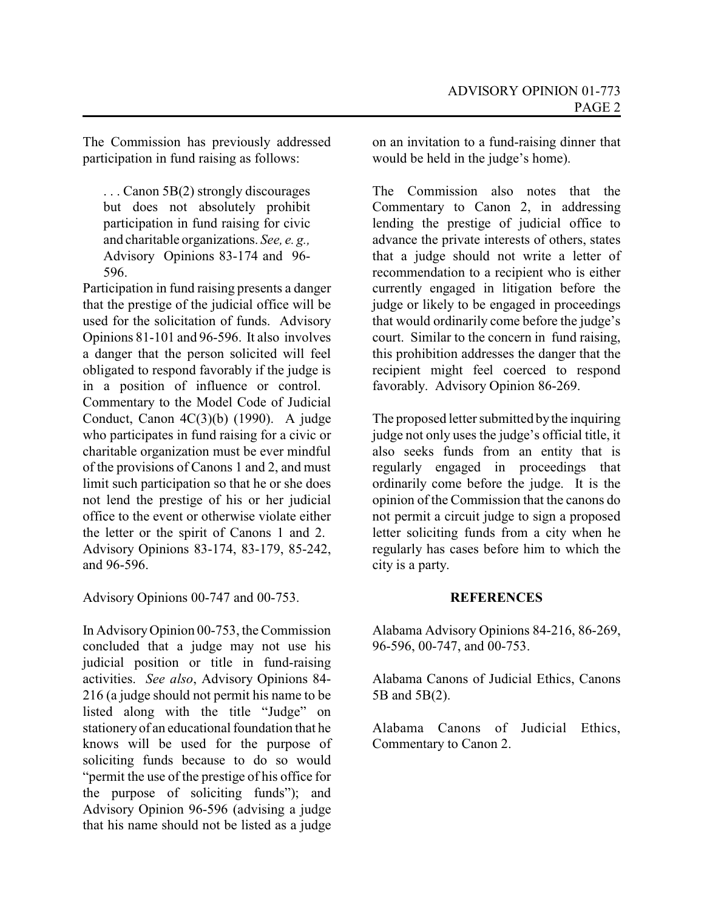The Commission has previously addressed participation in fund raising as follows:

... Canon 5B(2) strongly discourages but does not absolutely prohibit participation in fund raising for civic and charitable organizations. *See, e. g.,* Advisory Opinions 83-174 and 96- 596.

Participation in fund raising presents a danger that the prestige of the judicial office will be used for the solicitation of funds. Advisory Opinions 81-101 and 96-596. It also involves a danger that the person solicited will feel obligated to respond favorably if the judge is in a position of influence or control. Commentary to the Model Code of Judicial Conduct, Canon 4C(3)(b) (1990). A judge who participates in fund raising for a civic or charitable organization must be ever mindful of the provisions of Canons 1 and 2, and must limit such participation so that he or she does not lend the prestige of his or her judicial office to the event or otherwise violate either the letter or the spirit of Canons 1 and 2. Advisory Opinions 83-174, 83-179, 85-242, and 96-596.

Advisory Opinions 00-747 and 00-753.

In AdvisoryOpinion 00-753, the Commission concluded that a judge may not use his judicial position or title in fund-raising activities. *See also*, Advisory Opinions 84- 216 (a judge should not permit his name to be listed along with the title "Judge" on stationery of an educational foundation that he knows will be used for the purpose of soliciting funds because to do so would "permit the use of the prestige of his office for the purpose of soliciting funds"); and Advisory Opinion 96-596 (advising a judge that his name should not be listed as a judge

on an invitation to a fund-raising dinner that would be held in the judge's home).

The Commission also notes that the Commentary to Canon 2, in addressing lending the prestige of judicial office to advance the private interests of others, states that a judge should not write a letter of recommendation to a recipient who is either currently engaged in litigation before the judge or likely to be engaged in proceedings that would ordinarily come before the judge's court. Similar to the concern in fund raising, this prohibition addresses the danger that the recipient might feel coerced to respond favorably. Advisory Opinion 86-269.

The proposed letter submitted bythe inquiring judge not only uses the judge's official title, it also seeks funds from an entity that is regularly engaged in proceedings that ordinarily come before the judge. It is the opinion of the Commission that the canons do not permit a circuit judge to sign a proposed letter soliciting funds from a city when he regularly has cases before him to which the city is a party.

# **REFERENCES**

Alabama Advisory Opinions 84-216, 86-269, 96-596, 00-747, and 00-753.

Alabama Canons of Judicial Ethics, Canons 5B and 5B(2).

Alabama Canons of Judicial Ethics, Commentary to Canon 2.